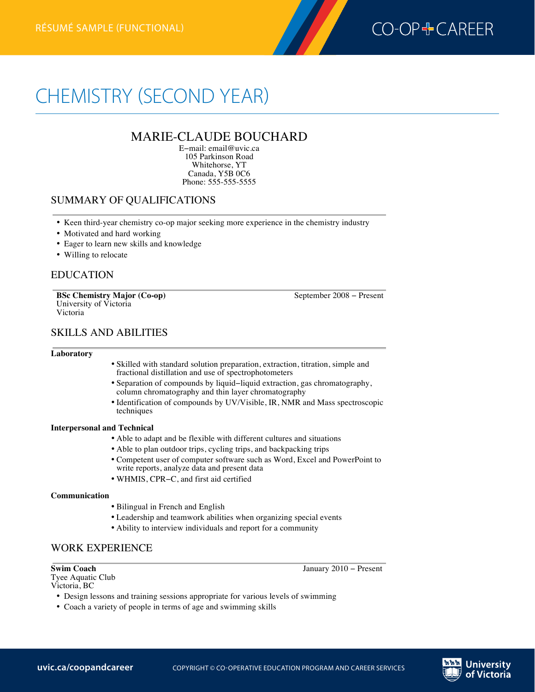

# CHEMISTRY (SECOND YEAR)

# MARIE-CLAUDE BOUCHARD

E−mail: email@uvic.ca 105 Parkinson Road Whitehorse, YT Canada, Y5B 0C6 Phone: 555-555-5555

# SUMMARY OF QUALIFICATIONS

- Keen third-year chemistry co-op major seeking more experience in the chemistry industry
- Motivated and hard working
- Eager to learn new skills and knowledge
- Willing to relocate

## EDUCATION

**Chemistryrésumé (second year)—functional**

**BSc Chemistry Major (Co-op)** September 2008 − Present University of Victoria Victoria

# SKILLS AND ABILITIES

### **Laboratory**

- Skilled with standard solution preparation, extraction, titration, simple and fractional distillation and use of spectrophotometers
- Separation of compounds by liquid−liquid extraction, gas chromatography, column chromatography and thin layer chromatography
- Identification of compounds by UV/Visible, IR, NMR and Mass spectroscopic techniques

### **Interpersonal and Technical**

- Able to adapt and be flexible with different cultures and situations
- Able to plan outdoor trips, cycling trips, and backpacking trips
- Competent user of computer software such as Word, Excel and PowerPoint to write reports, analyze data and present data
- WHMIS, CPR−C, and first aid certified

### **Communication**

- Bilingual in French and English
- Leadership and teamwork abilities when organizing special events
- Ability to interview individuals and report for a community

## WORK EXPERIENCE

**Swim Coach** January 2010 − Present

- Tyee Aquatic Club Victoria, BC
	- Design lessons and training sessions appropriate for various levels of swimming
	- Coach a variety of people in terms of age and swimming skills